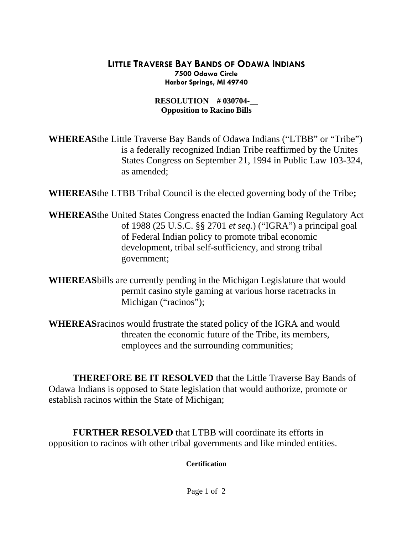## **LITTLE TRAVERSE BAY BANDS OF ODAWA INDIANS 7500 Odawa Circle Harbor Springs, MI 49740**

## **RESOLUTION # 030704-Opposition to Racino Bills**

**WHEREAS** the Little Traverse Bay Bands of Odawa Indians ("LTBB" or "Tribe") is a federally recognized Indian Tribe reaffirmed by the Unites States Congress on September 21, 1994 in Public Law 103-324, as amended;

**WHEREAS** the LTBB Tribal Council is the elected governing body of the Tribe**;** 

- **WHEREAS** the United States Congress enacted the Indian Gaming Regulatory Act of 1988 (25 U.S.C. §§ 2701 *et seq.*) ("IGRA") a principal goal of Federal Indian policy to promote tribal economic development, tribal self-sufficiency, and strong tribal government;
- **WHEREAS** bills are currently pending in the Michigan Legislature that would permit casino style gaming at various horse racetracks in Michigan ("racinos");
- **WHEREAS** racinos would frustrate the stated policy of the IGRA and would threaten the economic future of the Tribe, its members, employees and the surrounding communities;

 **THEREFORE BE IT RESOLVED** that the Little Traverse Bay Bands of Odawa Indians is opposed to State legislation that would authorize, promote or establish racinos within the State of Michigan;

**FURTHER RESOLVED** that LTBB will coordinate its efforts in opposition to racinos with other tribal governments and like minded entities.

 **Certification**